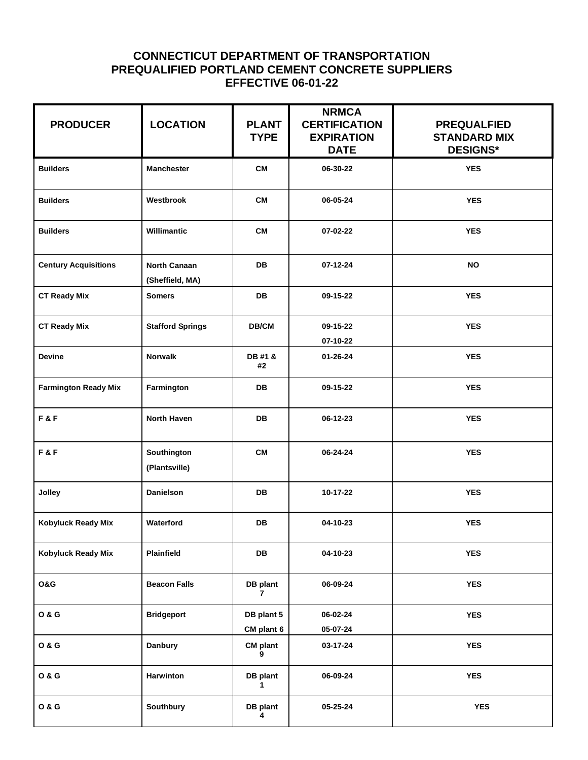## **CONNECTICUT DEPARTMENT OF TRANSPORTATION PREQUALIFIED PORTLAND CEMENT CONCRETE SUPPLIERS EFFECTIVE 06-01-22**

| <b>PRODUCER</b>             | <b>LOCATION</b>                 | <b>PLANT</b><br><b>TYPE</b> | <b>NRMCA</b><br><b>CERTIFICATION</b><br><b>EXPIRATION</b><br><b>DATE</b> | <b>PREQUALFIED</b><br><b>STANDARD MIX</b><br><b>DESIGNS*</b> |
|-----------------------------|---------------------------------|-----------------------------|--------------------------------------------------------------------------|--------------------------------------------------------------|
| <b>Builders</b>             | <b>Manchester</b>               | <b>CM</b>                   | 06-30-22                                                                 | <b>YES</b>                                                   |
| <b>Builders</b>             | Westbrook                       | <b>CM</b>                   | 06-05-24                                                                 | <b>YES</b>                                                   |
| <b>Builders</b>             | Willimantic                     | <b>CM</b>                   | 07-02-22                                                                 | <b>YES</b>                                                   |
| <b>Century Acquisitions</b> | North Canaan<br>(Sheffield, MA) | <b>DB</b>                   | 07-12-24                                                                 | <b>NO</b>                                                    |
| <b>CT Ready Mix</b>         | <b>Somers</b>                   | <b>DB</b>                   | 09-15-22                                                                 | <b>YES</b>                                                   |
| <b>CT Ready Mix</b>         | <b>Stafford Springs</b>         | DB/CM                       | 09-15-22<br>07-10-22                                                     | <b>YES</b>                                                   |
| <b>Devine</b>               | <b>Norwalk</b>                  | DB #1 &<br>#2               | 01-26-24                                                                 | <b>YES</b>                                                   |
| <b>Farmington Ready Mix</b> | Farmington                      | <b>DB</b>                   | 09-15-22                                                                 | <b>YES</b>                                                   |
| F&F                         | <b>North Haven</b>              | <b>DB</b>                   | 06-12-23                                                                 | <b>YES</b>                                                   |
| F&F                         | Southington<br>(Plantsville)    | <b>CM</b>                   | 06-24-24                                                                 | <b>YES</b>                                                   |
| Jolley                      | Danielson                       | <b>DB</b>                   | 10-17-22                                                                 | <b>YES</b>                                                   |
| Kobyluck Ready Mix          | Waterford                       | <b>DB</b>                   | 04-10-23                                                                 | <b>YES</b>                                                   |
| <b>Kobyluck Ready Mix</b>   | <b>Plainfield</b>               | DB                          | 04-10-23                                                                 | <b>YES</b>                                                   |
| O&G                         | <b>Beacon Falls</b>             | DB plant<br>$\overline{7}$  | 06-09-24                                                                 | <b>YES</b>                                                   |
| <b>O &amp; G</b>            | <b>Bridgeport</b>               | DB plant 5<br>CM plant 6    | 06-02-24<br>05-07-24                                                     | <b>YES</b>                                                   |
| <b>O &amp; G</b>            | <b>Danbury</b>                  | <b>CM</b> plant<br>9        | 03-17-24                                                                 | <b>YES</b>                                                   |
| <b>O&amp;G</b>              | Harwinton                       | DB plant<br>$\mathbf 1$     | 06-09-24                                                                 | <b>YES</b>                                                   |
| <b>0 &amp; G</b>            | Southbury                       | DB plant<br>4               | 05-25-24                                                                 | <b>YES</b>                                                   |